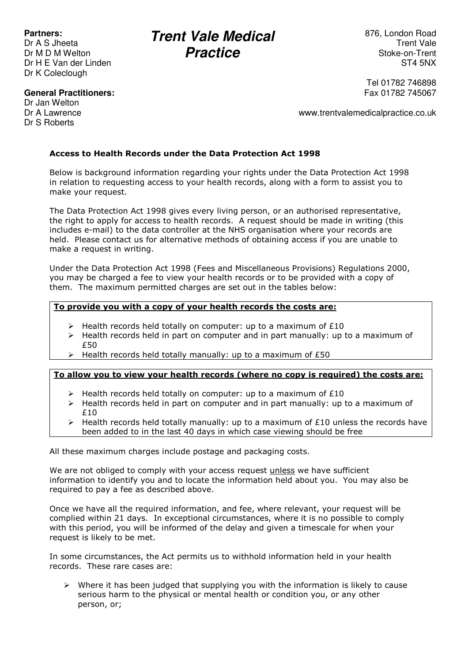# **Partners:**

Dr A S Jheeta Dr M D M Welton Dr H E Van der Linden Dr K Coleclough

# **Trent Vale Medical Practice**

876, London Road Trent Vale Stoke-on-Trent ST4 5NX

#### **General Practitioners:**

Dr Jan Welton Dr A Lawrence Dr S Roberts

Tel 01782 746898 Fax 01782 745067

www.trentvalemedicalpractice.co.uk

# **Access to Health Records under the Data Protection Act 1998**

Below is background information regarding your rights under the Data Protection Act 1998 in relation to requesting access to your health records, along with a form to assist you to make your request.

The Data Protection Act 1998 gives every living person, or an authorised representative, the right to apply for access to health records. A request should be made in writing (this includes e-mail) to the data controller at the NHS organisation where your records are held. Please contact us for alternative methods of obtaining access if you are unable to make a request in writing.

Under the Data Protection Act 1998 (Fees and Miscellaneous Provisions) Regulations 2000, you may be charged a fee to view your health records or to be provided with a copy of them. The maximum permitted charges are set out in the tables below:

#### **To provide you with a copy of your health records the costs are:**

- $\triangleright$  Health records held totally on computer: up to a maximum of £10
- $\triangleright$  Health records held in part on computer and in part manually: up to a maximum of £50
- $\triangleright$  Health records held totally manually: up to a maximum of £50

# **To allow you to view your health records (where no copy is required) the costs are:**

- $\triangleright$  Health records held totally on computer: up to a maximum of £10
- $\triangleright$  Health records held in part on computer and in part manually: up to a maximum of £10
- ▶ Health records held totally manually: up to a maximum of £10 unless the records have been added to in the last 40 days in which case viewing should be free

All these maximum charges include postage and packaging costs.

We are not obliged to comply with your access request unless we have sufficient information to identify you and to locate the information held about you. You may also be required to pay a fee as described above.

Once we have all the required information, and fee, where relevant, your request will be complied within 21 days. In exceptional circumstances, where it is no possible to comply with this period, you will be informed of the delay and given a timescale for when your request is likely to be met.

In some circumstances, the Act permits us to withhold information held in your health records. These rare cases are:

 $\triangleright$  Where it has been judged that supplying you with the information is likely to cause serious harm to the physical or mental health or condition you, or any other person, or;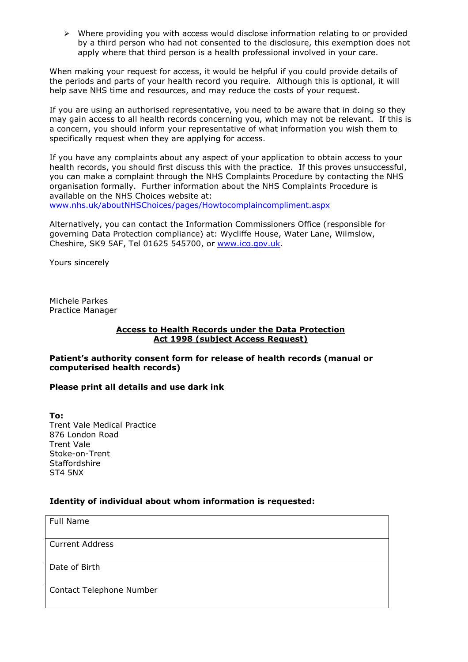$\triangleright$  Where providing you with access would disclose information relating to or provided by a third person who had not consented to the disclosure, this exemption does not apply where that third person is a health professional involved in your care.

When making your request for access, it would be helpful if you could provide details of the periods and parts of your health record you require. Although this is optional, it will help save NHS time and resources, and may reduce the costs of your request.

If you are using an authorised representative, you need to be aware that in doing so they may gain access to all health records concerning you, which may not be relevant. If this is a concern, you should inform your representative of what information you wish them to specifically request when they are applying for access.

If you have any complaints about any aspect of your application to obtain access to your health records, you should first discuss this with the practice. If this proves unsuccessful, you can make a complaint through the NHS Complaints Procedure by contacting the NHS organisation formally. Further information about the NHS Complaints Procedure is available on the NHS Choices website at:

www.nhs.uk/aboutNHSChoices/pages/Howtocomplaincompliment.aspx

Alternatively, you can contact the Information Commissioners Office (responsible for governing Data Protection compliance) at: Wycliffe House, Water Lane, Wilmslow, Cheshire, SK9 5AF, Tel 01625 545700, or www.ico.gov.uk.

Yours sincerely

Michele Parkes Practice Manager

#### **Access to Health Records under the Data Protection Act 1998 (subject Access Request)**

**Patient's authority consent form for release of health records (manual or computerised health records)** 

#### **Please print all details and use dark ink**

**To:**  Trent Vale Medical Practice 876 London Road Trent Vale Stoke-on-Trent **Staffordshire** ST4 5NX

### **Identity of individual about whom information is requested:**

Full Name

Current Address

Date of Birth

Contact Telephone Number